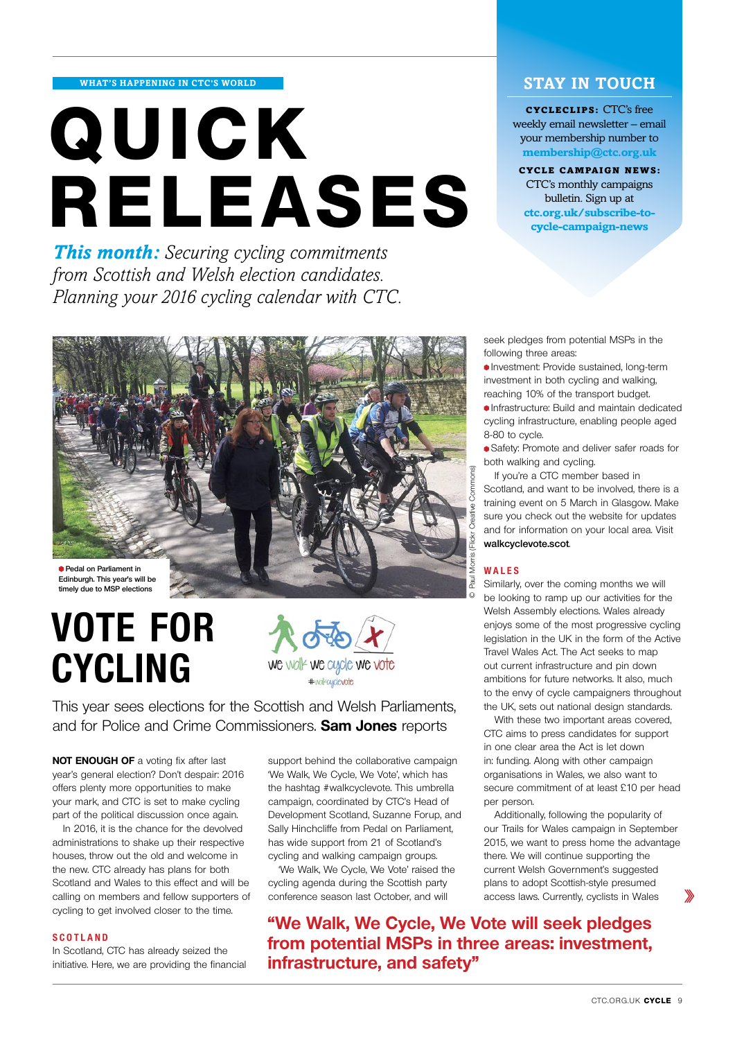**what's happening in ctc's world**

# **quick releases**

*This month: Securing cycling commitments from Scottish and Welsh election candidates. Planning your 2016 cycling calendar with CTC.*

## **stay in touch**

cycleclips: CTC's free weekly email newsletter – email your membership number to **membership@ctc.org.uk**

CYCLE campaign news: CTC's monthly campaigns bulletin. Sign up at **ctc.org.uk/subscribe-tocycle-campaign-news**



**timely due to MSP elections**

# **Vote for cycling**



This year sees elections for the Scottish and Welsh Parliaments, and for Police and Crime Commissioners. **Sam Jones** reports

**NOT ENOUGH OF** a voting fix after last year's general election? Don't despair: 2016 offers plenty more opportunities to make your mark, and CTC is set to make cycling part of the political discussion once again.

In 2016, it is the chance for the devolved administrations to shake up their respective houses, throw out the old and welcome in the new. CTC already has plans for both Scotland and Wales to this effect and will be calling on members and fellow supporters of cycling to get involved closer to the time.

#### **Scotland**

In Scotland, CTC has already seized the initiative. Here, we are providing the financial

support behind the collaborative campaign 'We Walk, We Cycle, We Vote', which has the hashtag #walkcyclevote. This umbrella campaign, coordinated by CTC's Head of Development Scotland, Suzanne Forup, and Sally Hinchcliffe from Pedal on Parliament, has wide support from 21 of Scotland's cycling and walking campaign groups.

'We Walk, We Cycle, We Vote' raised the cycling agenda during the Scottish party conference season last October, and will

**"We Walk, We Cycle, We Vote will seek pledges from potential MSPs in three areas: investment, infrastructure, and safety"**

seek pledges from potential MSPs in the following three areas:

Investment: Provide sustained, long-term investment in both cycling and walking, reaching 10% of the transport budget.

Infrastructure: Build and maintain dedicated cycling infrastructure, enabling people aged 8-80 to cycle.

Safety: Promote and deliver safer roads for both walking and cycling.

If you're a CTC member based in Scotland, and want to be involved, there is a training event on 5 March in Glasgow. Make sure you check out the website for updates and for information on your local area. Visit **walkcyclevote.scot**.

#### **Wale s**

Similarly, over the coming months we will be looking to ramp up our activities for the Welsh Assembly elections. Wales already enjoys some of the most progressive cycling legislation in the UK in the form of the Active Travel Wales Act. The Act seeks to map out current infrastructure and pin down ambitions for future networks. It also, much to the envy of cycle campaigners throughout the UK, sets out national design standards.

With these two important areas covered, CTC aims to press candidates for support in one clear area the Act is let down in: funding. Along with other campaign organisations in Wales, we also want to secure commitment of at least £10 per head per person.

Additionally, following the popularity of our Trails for Wales campaign in September 2015, we want to press home the advantage there. We will continue supporting the current Welsh Government's suggested plans to adopt Scottish-style presumed access laws. Currently, cyclists in Wales

≫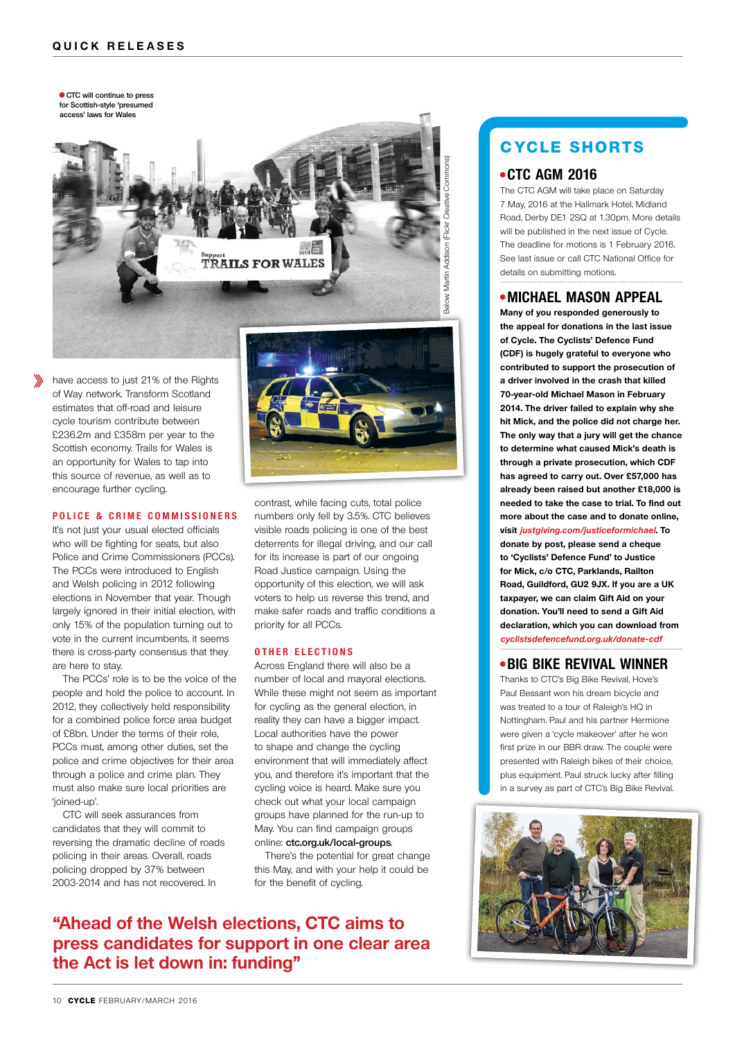**CTC will continue to press for Scottish-style 'presumed access' laws for Wales**



have access to just 21% of the Rights of Way network. Transform Scotland estimates that off-road and leisure cycle tourism contribute between £236.2m and £358m per year to the Scottish economy. Trails for Wales is an opportunity for Wales to tap into this source of revenue, as well as to encourage further cycling.

#### **Police & C r i m e C o mm i ss ioner s**

It's not just your usual elected officials who will be fighting for seats, but also Police and Crime Commissioners (PCCs). The PCCs were introduced to English and Welsh policing in 2012 following elections in November that year. Though largely ignored in their initial election, with only 15% of the population turning out to vote in the current incumbents, it seems there is cross-party consensus that they are here to stay.

The PCCs' role is to be the voice of the people and hold the police to account. In 2012, they collectively held responsibility for a combined police force area budget of £8bn. Under the terms of their role, PCCs must, among other duties, set the police and crime objectives for their area through a police and crime plan. They must also make sure local priorities are 'joined-up'.

CTC will seek assurances from candidates that they will commit to reversing the dramatic decline of roads policing in their areas. Overall, roads policing dropped by 37% between 2003-2014 and has not recovered. In



contrast, while facing cuts, total police numbers only fell by 3.5%. CTC believes visible roads policing is one of the best deterrents for illegal driving, and our call for its increase is part of our ongoing Road Justice campaign. Using the opportunity of this election, we will ask voters to help us reverse this trend, and make safer roads and traffic conditions a priority for all PCCs.

#### **O t h er election s**

Across England there will also be a number of local and mayoral elections. While these might not seem as important for cycling as the general election, in reality they can have a bigger impact. Local authorities have the power to shape and change the cycling environment that will immediately affect you, and therefore it's important that the cycling voice is heard. Make sure you check out what your local campaign groups have planned for the run-up to May. You can find campaign groups online: **ctc.org.uk/local-groups**.

There's the potential for great change this May, and with your help it could be for the benefit of cycling.

# **"Ahead of the Welsh elections, CTC aims to press candidates for support in one clear area the Act is let down in: funding"**

# **cycle shorts**

## **CTC AGM 2016**

The CTC AGM will take place on Saturday 7 May, 2016 at the Hallmark Hotel, Midland Road, Derby DE1 2SQ at 1.30pm. More details will be published in the next issue of Cycle. The deadline for motions is 1 February 2016. See last issue or call CTC National Office for details on submitting motions.

#### **MICHAEL MASON APPEAL**

**Many of you responded generously to the appeal for donations in the last issue of Cycle. The Cyclists' Defence Fund (CDF) is hugely grateful to everyone who contributed to support the prosecution of a driver involved in the crash that killed 70-year-old Michael Mason in February 2014. The driver failed to explain why she hit Mick, and the police did not charge her. The only way that a jury will get the chance to determine what caused Mick's death is through a private prosecution, which CDF has agreed to carry out. Over £57,000 has already been raised but another £18,000 is needed to take the case to trial. To find out more about the case and to donate online, visit justgiving.com/justiceformichael. To donate by post, please send a cheque to 'Cyclists' Defence Fund' to Justice for Mick, c/o CTC, Parklands, Railton Road, Guildford, GU2 9JX. If you are a UK taxpayer, we can claim Gift Aid on your donation. You'll need to send a Gift Aid declaration, which you can download from cyclistsdefencefund.org.uk/donate-cdf**

### **BIG BIKE REVIVAL WINNER**

Thanks to CTC's Big Bike Revival, Hove's Paul Bessant won his dream bicycle and was treated to a tour of Raleigh's HQ in Nottingham. Paul and his partner Hermione were given a 'cycle makeover' after he won first prize in our BBR draw. The couple were presented with Raleigh bikes of their choice, plus equipment. Paul struck lucky after filling in a survey as part of CTC's Big Bike Revival.